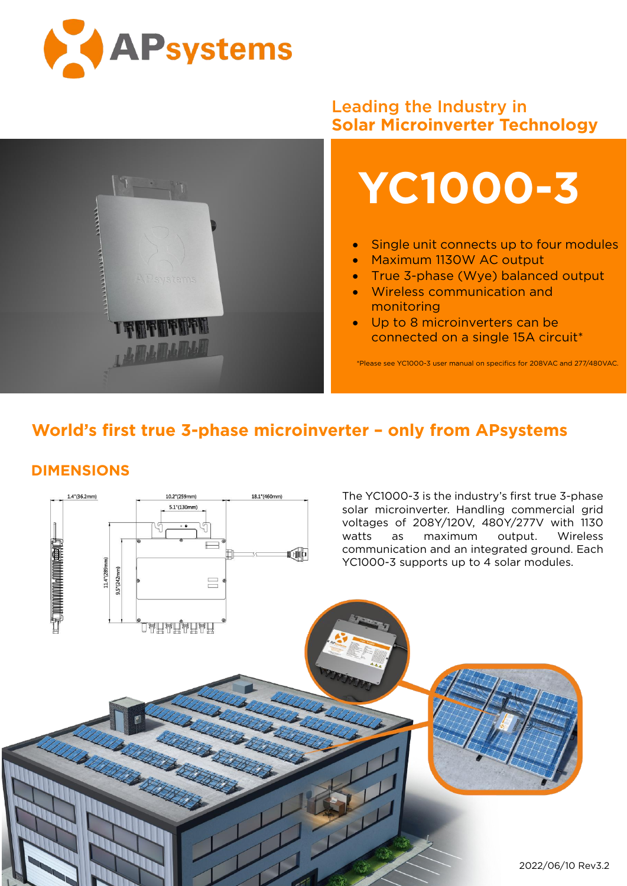



## Leading the Industry in **Solar Microinverter Technology**



- Single unit connects up to four modules
- Maximum 1130W AC output
- True 3-phase (Wye) balanced output
- Wireless communication and monitoring
- Up to 8 microinverters can be connected on a single 15A circuit\*

\*Please see YC1000-3 user manual on specifics for208VAC and 277/480VAC.

## **World's first true 3-phase microinverter – only from APsystems**

## **DIMENSIONS**